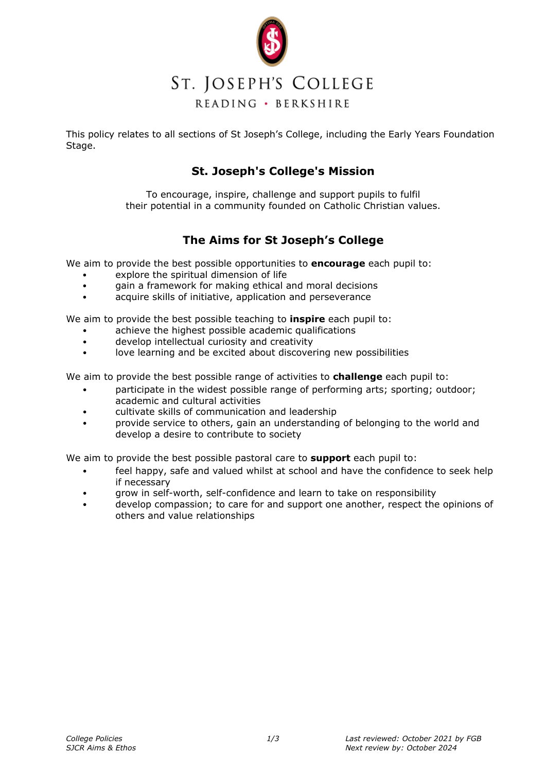

### ST. JOSEPH'S COLLEGE READING · BERKSHIRE

This policy relates to all sections of St Joseph's College, including the Early Years Foundation Stage.

### **St. Joseph's College's Mission**

To encourage, inspire, challenge and support pupils to fulfil their potential in a community founded on Catholic Christian values.

### **The Aims for St Joseph's College**

We aim to provide the best possible opportunities to **encourage** each pupil to:

- explore the spiritual dimension of life
- gain a framework for making ethical and moral decisions
- acquire skills of initiative, application and perseverance

We aim to provide the best possible teaching to **inspire** each pupil to:

- achieve the highest possible academic qualifications
- develop intellectual curiosity and creativity
- love learning and be excited about discovering new possibilities

We aim to provide the best possible range of activities to **challenge** each pupil to:

- participate in the widest possible range of performing arts; sporting; outdoor; academic and cultural activities
- cultivate skills of communication and leadership
- provide service to others, gain an understanding of belonging to the world and develop a desire to contribute to society

We aim to provide the best possible pastoral care to **support** each pupil to:

- feel happy, safe and valued whilst at school and have the confidence to seek help if necessary
- grow in self-worth, self-confidence and learn to take on responsibility
- develop compassion; to care for and support one another, respect the opinions of others and value relationships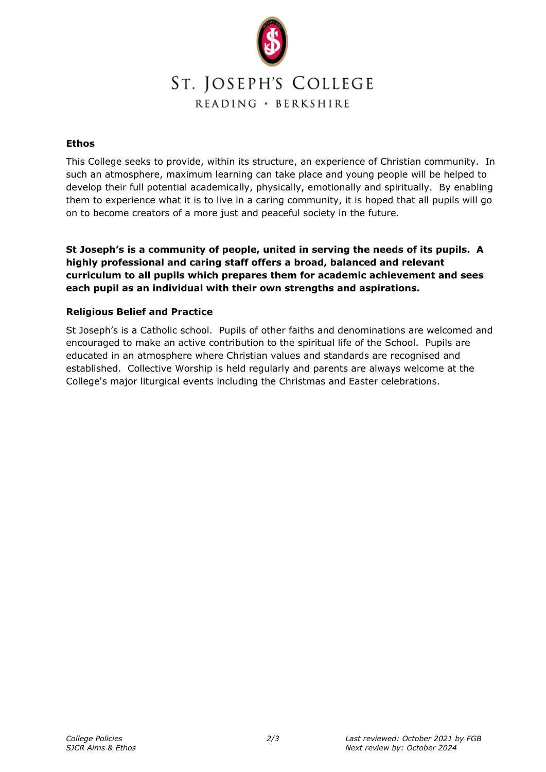

## ST. JOSEPH'S COLLEGE READING · BERKSHIRE

#### **Ethos**

This College seeks to provide, within its structure, an experience of Christian community. In such an atmosphere, maximum learning can take place and young people will be helped to develop their full potential academically, physically, emotionally and spiritually. By enabling them to experience what it is to live in a caring community, it is hoped that all pupils will go on to become creators of a more just and peaceful society in the future.

**St Joseph's is a community of people, united in serving the needs of its pupils. A highly professional and caring staff offers a broad, balanced and relevant curriculum to all pupils which prepares them for academic achievement and sees each pupil as an individual with their own strengths and aspirations.**

#### **Religious Belief and Practice**

St Joseph's is a Catholic school. Pupils of other faiths and denominations are welcomed and encouraged to make an active contribution to the spiritual life of the School. Pupils are educated in an atmosphere where Christian values and standards are recognised and established. Collective Worship is held regularly and parents are always welcome at the College's major liturgical events including the Christmas and Easter celebrations.